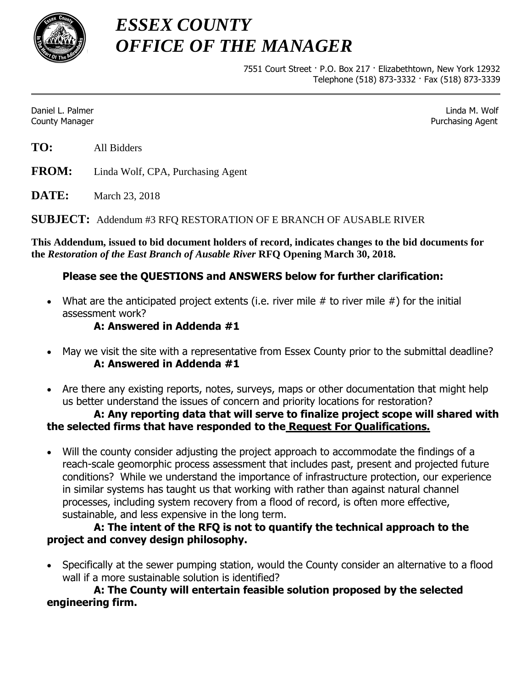

*ESSEX COUNTY OFFICE OF THE MANAGER*

> 7551 Court Street · P.O. Box 217 · Elizabethtown, New York 12932 Telephone (518) 873-3332 · Fax (518) 873-3339

Daniel L. Palmer Linda M. Wolf County Manager Purchasing Agent

**TO:** All Bidders

**FROM:** Linda Wolf, CPA, Purchasing Agent

**DATE:** March 23, 2018

**SUBJECT:** Addendum #3 RFQ RESTORATION OF E BRANCH OF AUSABLE RIVER

**This Addendum, issued to bid document holders of record, indicates changes to the bid documents for the** *Restoration of the East Branch of Ausable River* **RFQ Opening March 30, 2018.**

# **Please see the QUESTIONS and ANSWERS below for further clarification:**

• What are the anticipated project extents (i.e. river mile  $#$  to river mile  $#$ ) for the initial assessment work?

### **A: Answered in Addenda #1**

- May we visit the site with a representative from Essex County prior to the submittal deadline? **A: Answered in Addenda #1**
- Are there any existing reports, notes, surveys, maps or other documentation that might help us better understand the issues of concern and priority locations for restoration?

### **A: Any reporting data that will serve to finalize project scope will shared with the selected firms that have responded to the Request For Qualifications.**

 Will the county consider adjusting the project approach to accommodate the findings of a reach-scale geomorphic process assessment that includes past, present and projected future conditions? While we understand the importance of infrastructure protection, our experience in similar systems has taught us that working with rather than against natural channel processes, including system recovery from a flood of record, is often more effective, sustainable, and less expensive in the long term.

# **A: The intent of the RFQ is not to quantify the technical approach to the project and convey design philosophy.**

 Specifically at the sewer pumping station, would the County consider an alternative to a flood wall if a more sustainable solution is identified?

**A: The County will entertain feasible solution proposed by the selected engineering firm.**